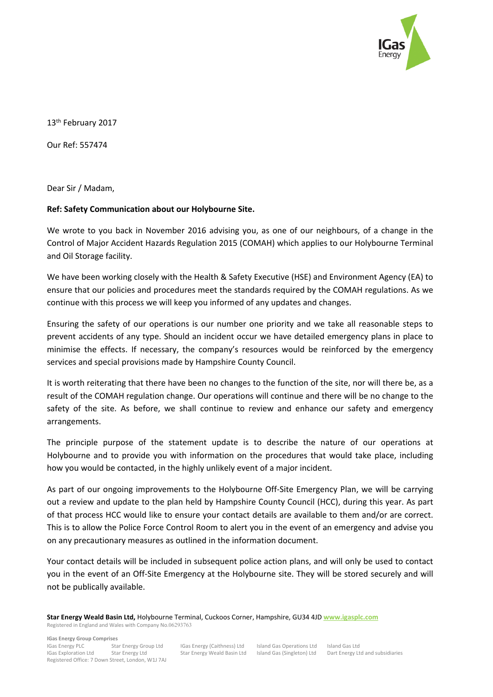

13<sup>th</sup> February 2017

Our Ref: 557474

Dear Sir / Madam,

## **Ref: Safety Communication about our Holybourne Site.**

We wrote to you back in November 2016 advising you, as one of our neighbours, of a change in the Control of Major Accident Hazards Regulation 2015 (COMAH) which applies to our Holybourne Terminal and Oil Storage facility.

We have been working closely with the Health & Safety Executive (HSE) and Environment Agency (EA) to ensure that our policies and procedures meet the standards required by the COMAH regulations. As we continue with this process we will keep you informed of any updates and changes.

Ensuring the safety of our operations is our number one priority and we take all reasonable steps to prevent accidents of any type. Should an incident occur we have detailed emergency plans in place to minimise the effects. If necessary, the company's resources would be reinforced by the emergency services and special provisions made by Hampshire County Council.

It is worth reiterating that there have been no changes to the function of the site, nor will there be, as a result of the COMAH regulation change. Our operations will continue and there will be no change to the safety of the site. As before, we shall continue to review and enhance our safety and emergency arrangements.

The principle purpose of the statement update is to describe the nature of our operations at Holybourne and to provide you with information on the procedures that would take place, including how you would be contacted, in the highly unlikely event of a major incident.

As part of our ongoing improvements to the Holybourne Off-Site Emergency Plan, we will be carrying out a review and update to the plan held by Hampshire County Council (HCC), during this year. As part of that process HCC would like to ensure your contact details are available to them and/or are correct. This is to allow the Police Force Control Room to alert you in the event of an emergency and advise you on any precautionary measures as outlined in the information document.

Your contact details will be included in subsequent police action plans, and will only be used to contact you in the event of an Off-Site Emergency at the Holybourne site. They will be stored securely and will not be publically available.

**Star Energy Weald Basin Ltd,** Holybourne Terminal, Cuckoos Corner, Hampshire, GU34 4JD **[www.igasplc.com](http://www.igasplc.com/)** Registered in England and Wales with Company No.06293763